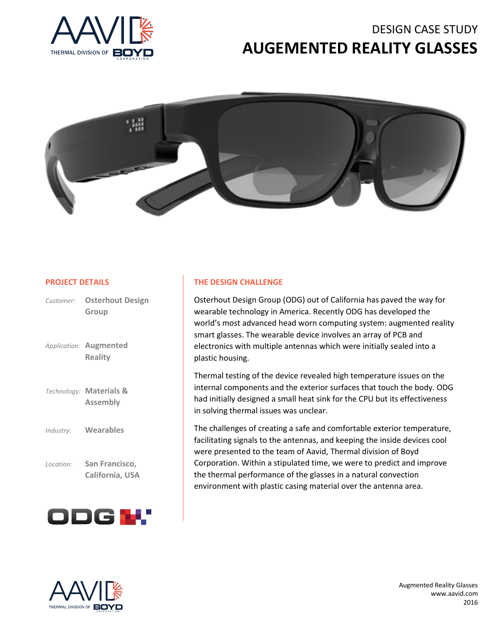# DESIGN CASE STUDY **AUGEMENTED REALITY GLASSES**





#### **PROJECT DETAILS**

|           | Customer: Osterhout Design<br>Group             |
|-----------|-------------------------------------------------|
|           | Application: <b>Augmented</b><br><b>Reality</b> |
|           | Technology: Materials &<br><b>Assembly</b>      |
| Industry: | <b>Wearables</b>                                |
| Location: | San Francisco,<br>California, USA               |



#### **THE DESIGN CHALLENGE**

Osterhout Design Group (ODG) out of California has paved the way for wearable technology in America. Recently ODG has developed the world's most advanced head worn computing system: augmented reality smart glasses. The wearable device involves an array of PCB and electronics with multiple antennas which were initially sealed into a plastic housing.

Thermal testing of the device revealed high temperature issues on the internal components and the exterior surfaces that touch the body. ODG had initially designed a small heat sink for the CPU but its effectiveness in solving thermal issues was unclear.

The challenges of creating a safe and comfortable exterior temperature, facilitating signals to the antennas, and keeping the inside devices cool were presented to the team of Aavid, Thermal division of Boyd Corporation. Within a stipulated time, we were to predict and improve the thermal performance of the glasses in a natural convection environment with plastic casing material over the antenna area.



Augmented Reality Glasses www.aavid.com 2016